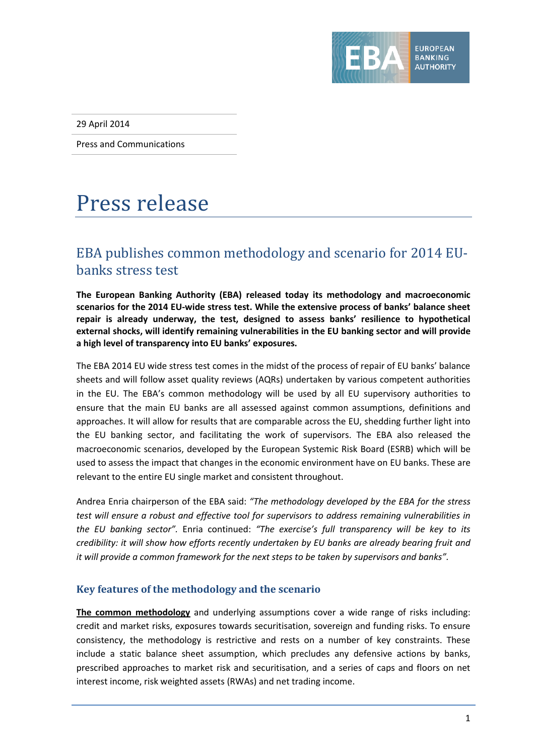

29 April 2014

Press and Communications

## Press release

## EBA publishes common methodology and scenario for 2014 EUbanks stress test

**The European Banking Authority (EBA) released today its methodology and macroeconomic scenarios for the 2014 EU-wide stress test. While the extensive process of banks' balance sheet repair is already underway, the test, designed to assess banks' resilience to hypothetical external shocks, will identify remaining vulnerabilities in the EU banking sector and will provide a high level of transparency into EU banks' exposures.**

The EBA 2014 EU wide stress test comes in the midst of the process of repair of EU banks' balance sheets and will follow asset quality reviews (AQRs) undertaken by various competent authorities in the EU. The EBA's common methodology will be used by all EU supervisory authorities to ensure that the main EU banks are all assessed against common assumptions, definitions and approaches. It will allow for results that are comparable across the EU, shedding further light into the EU banking sector, and facilitating the work of supervisors. The EBA also released the macroeconomic scenarios, developed by the European Systemic Risk Board (ESRB) which will be used to assess the impact that changes in the economic environment have on EU banks. These are relevant to the entire EU single market and consistent throughout.

Andrea Enria chairperson of the EBA said: *"The methodology developed by the EBA for the stress test will ensure a robust and effective tool for supervisors to address remaining vulnerabilities in the EU banking sector".* Enria continued: *"The exercise's full transparency will be key to its credibility: it will show how efforts recently undertaken by EU banks are already bearing fruit and it will provide a common framework for the next steps to be taken by supervisors and banks".*

## **Key features of the methodology and the scenario**

**The common methodology** and underlying assumptions cover a wide range of risks including: credit and market risks, exposures towards securitisation, sovereign and funding risks. To ensure consistency, the methodology is restrictive and rests on a number of key constraints. These include a static balance sheet assumption, which precludes any defensive actions by banks, prescribed approaches to market risk and securitisation, and a series of caps and floors on net interest income, risk weighted assets (RWAs) and net trading income.